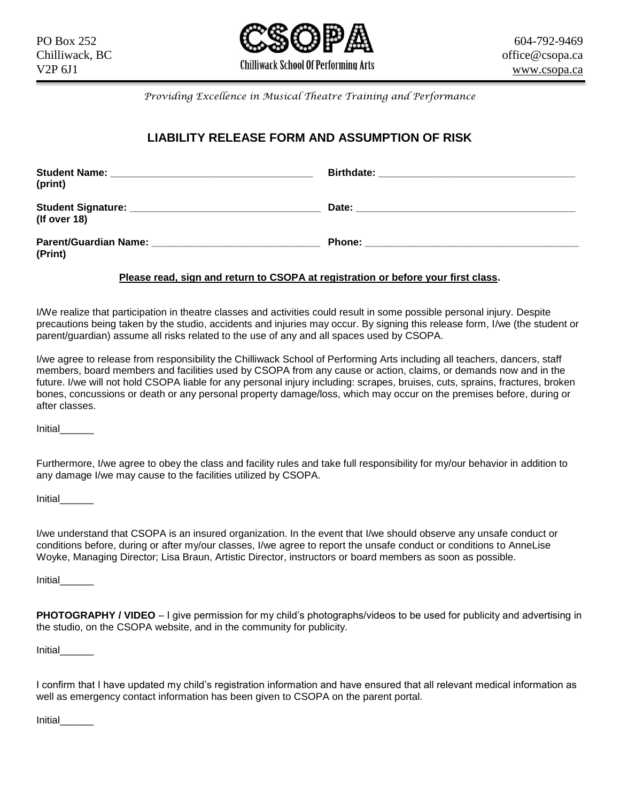

*Providing Excellence in Musical Theatre Training and Performance*

## **LIABILITY RELEASE FORM AND ASSUMPTION OF RISK**

| (print)                                                                                                                                                                                                                                        |                                                                                                                                                                                                                                     |
|------------------------------------------------------------------------------------------------------------------------------------------------------------------------------------------------------------------------------------------------|-------------------------------------------------------------------------------------------------------------------------------------------------------------------------------------------------------------------------------------|
| (If over 18)                                                                                                                                                                                                                                   |                                                                                                                                                                                                                                     |
| <b>Parent/Guardian Name:</b> Name: Name: Name of Name of Name of Name of Name of Name of Name of Name of Name of Name of Name of Name of Name of Name of Name of Name of Name of Name of Name of Name of Name of Name of Name of Na<br>(Print) | <b>Phone:</b> The contract of the contract of the contract of the contract of the contract of the contract of the contract of the contract of the contract of the contract of the contract of the contract of the contract of the c |

## **Please read, sign and return to CSOPA at registration or before your first class.**

I/We realize that participation in theatre classes and activities could result in some possible personal injury. Despite precautions being taken by the studio, accidents and injuries may occur. By signing this release form, I/we (the student or parent/guardian) assume all risks related to the use of any and all spaces used by CSOPA.

I/we agree to release from responsibility the Chilliwack School of Performing Arts including all teachers, dancers, staff members, board members and facilities used by CSOPA from any cause or action, claims, or demands now and in the future. I/we will not hold CSOPA liable for any personal injury including: scrapes, bruises, cuts, sprains, fractures, broken bones, concussions or death or any personal property damage/loss, which may occur on the premises before, during or after classes.

Initial\_\_\_\_\_\_

Furthermore, I/we agree to obey the class and facility rules and take full responsibility for my/our behavior in addition to any damage I/we may cause to the facilities utilized by CSOPA.

Initial\_\_\_\_\_\_

I/we understand that CSOPA is an insured organization. In the event that I/we should observe any unsafe conduct or conditions before, during or after my/our classes, I/we agree to report the unsafe conduct or conditions to AnneLise Woyke, Managing Director; Lisa Braun, Artistic Director, instructors or board members as soon as possible.

Initial\_\_\_\_\_\_

**PHOTOGRAPHY / VIDEO** – I give permission for my child's photographs/videos to be used for publicity and advertising in the studio, on the CSOPA website, and in the community for publicity.

Initial\_\_\_\_\_\_

I confirm that I have updated my child's registration information and have ensured that all relevant medical information as well as emergency contact information has been given to CSOPA on the parent portal.

Initial\_\_\_\_\_\_